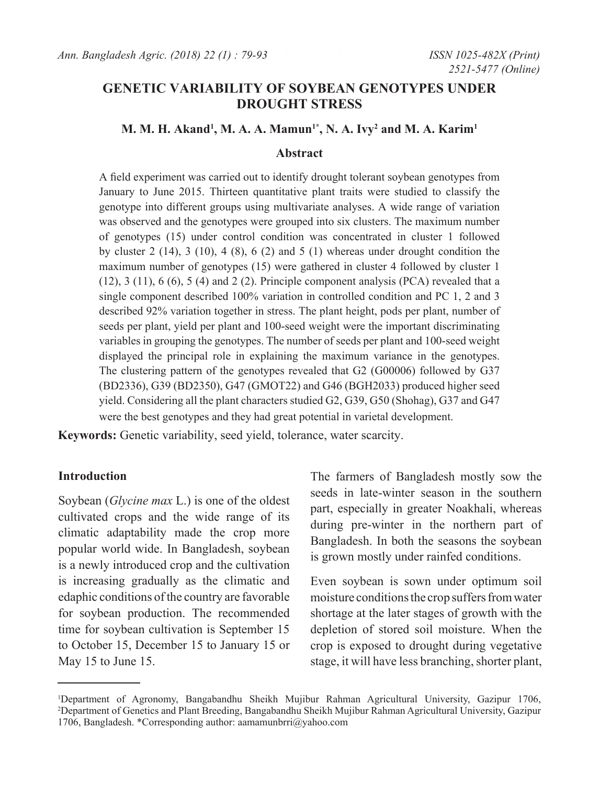# **GENETIC VARIABILITY OF SOYBEAN GENOTYPES UNDER DROUGHT STRESS**

#### **M. M. H. Akand1 , M. A. A. Mamun1\*, N. A. Ivy2 and M. A. Karim1**

#### **Abstract**

A field experiment was carried out to identify drought tolerant soybean genotypes from January to June 2015. Thirteen quantitative plant traits were studied to classify the genotype into different groups using multivariate analyses. A wide range of variation was observed and the genotypes were grouped into six clusters. The maximum number of genotypes (15) under control condition was concentrated in cluster 1 followed by cluster  $2$  (14),  $3$  (10),  $4$  (8),  $6$  (2) and  $5$  (1) whereas under drought condition the maximum number of genotypes (15) were gathered in cluster 4 followed by cluster 1  $(12)$ ,  $3(11)$ ,  $6(6)$ ,  $5(4)$  and  $2(2)$ . Principle component analysis (PCA) revealed that a single component described 100% variation in controlled condition and PC 1, 2 and 3 described 92% variation together in stress. The plant height, pods per plant, number of seeds per plant, yield per plant and 100-seed weight were the important discriminating variables in grouping the genotypes. The number of seeds per plant and 100-seed weight displayed the principal role in explaining the maximum variance in the genotypes. The clustering pattern of the genotypes revealed that G2 (G00006) followed by G37 (BD2336), G39 (BD2350), G47 (GMOT22) and G46 (BGH2033) produced higher seed yield. Considering all the plant characters studied G2, G39, G50 (Shohag), G37 and G47 were the best genotypes and they had great potential in varietal development.

**Keywords:** Genetic variability, seed yield, tolerance, water scarcity.

## **Introduction**

Soybean (*Glycine max* L.) is one of the oldest cultivated crops and the wide range of its climatic adaptability made the crop more popular world wide. In Bangladesh, soybean is a newly introduced crop and the cultivation is increasing gradually as the climatic and edaphic conditions of the country are favorable for soybean production. The recommended time for soybean cultivation is September 15 to October 15, December 15 to January 15 or May 15 to June 15.

The farmers of Bangladesh mostly sow the seeds in late-winter season in the southern part, especially in greater Noakhali, whereas during pre-winter in the northern part of Bangladesh. In both the seasons the soybean is grown mostly under rainfed conditions.

Even soybean is sown under optimum soil moisture conditions the crop suffers from water shortage at the later stages of growth with the depletion of stored soil moisture. When the crop is exposed to drought during vegetative stage, it will have less branching, shorter plant,

<sup>1</sup> Department of Agronomy, Bangabandhu Sheikh Mujibur Rahman Agricultural University, Gazipur 1706, 2 Department of Genetics and Plant Breeding, Bangabandhu Sheikh Mujibur Rahman Agricultural University, Gazipur 1706, Bangladesh. \*Corresponding author: aamamunbrri@yahoo.com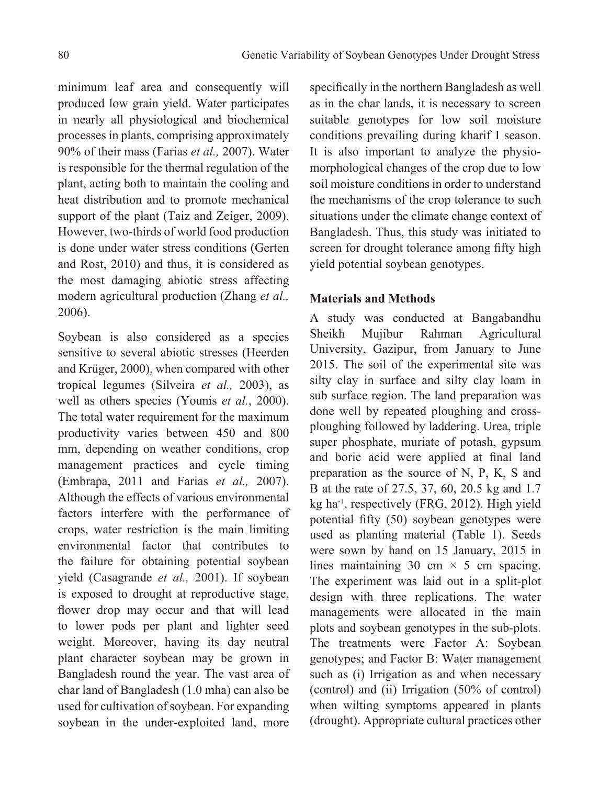minimum leaf area and consequently will produced low grain yield. Water participates in nearly all physiological and biochemical processes in plants, comprising approximately 90% of their mass (Farias *et al.,* 2007). Water is responsible for the thermal regulation of the plant, acting both to maintain the cooling and heat distribution and to promote mechanical support of the plant (Taiz and Zeiger, 2009). However, two-thirds of world food production is done under water stress conditions (Gerten and Rost, 2010) and thus, it is considered as the most damaging abiotic stress affecting modern agricultural production (Zhang *et al.,*  2006).

Soybean is also considered as a species sensitive to several abiotic stresses (Heerden and Krüger, 2000), when compared with other tropical legumes (Silveira *et al.,* 2003), as well as others species (Younis *et al.*, 2000). The total water requirement for the maximum productivity varies between 450 and 800 mm, depending on weather conditions, crop management practices and cycle timing (Embrapa, 2011 and Farias *et al.,* 2007). Although the effects of various environmental factors interfere with the performance of crops, water restriction is the main limiting environmental factor that contributes to the failure for obtaining potential soybean yield (Casagrande *et al.,* 2001). If soybean is exposed to drought at reproductive stage, flower drop may occur and that will lead to lower pods per plant and lighter seed weight. Moreover, having its day neutral plant character soybean may be grown in Bangladesh round the year. The vast area of char land of Bangladesh (1.0 mha) can also be used for cultivation of soybean. For expanding soybean in the under-exploited land, more

specifically in the northern Bangladesh as well as in the char lands, it is necessary to screen suitable genotypes for low soil moisture conditions prevailing during kharif I season. It is also important to analyze the physiomorphological changes of the crop due to low soil moisture conditions in order to understand the mechanisms of the crop tolerance to such situations under the climate change context of Bangladesh. Thus, this study was initiated to screen for drought tolerance among fifty high yield potential soybean genotypes.

## **Materials and Methods**

A study was conducted at Bangabandhu Sheikh Mujibur Rahman Agricultural University, Gazipur, from January to June 2015. The soil of the experimental site was silty clay in surface and silty clay loam in sub surface region. The land preparation was done well by repeated ploughing and crossploughing followed by laddering. Urea, triple super phosphate, muriate of potash, gypsum and boric acid were applied at final land preparation as the source of N, P, K, S and B at the rate of 27.5, 37, 60, 20.5 kg and 1.7 kg ha-1, respectively (FRG, 2012). High yield potential fifty (50) soybean genotypes were used as planting material (Table 1). Seeds were sown by hand on 15 January, 2015 in lines maintaining 30 cm  $\times$  5 cm spacing. The experiment was laid out in a split-plot design with three replications. The water managements were allocated in the main plots and soybean genotypes in the sub-plots. The treatments were Factor A: Soybean genotypes; and Factor B: Water management such as (i) Irrigation as and when necessary (control) and (ii) Irrigation (50% of control) when wilting symptoms appeared in plants (drought). Appropriate cultural practices other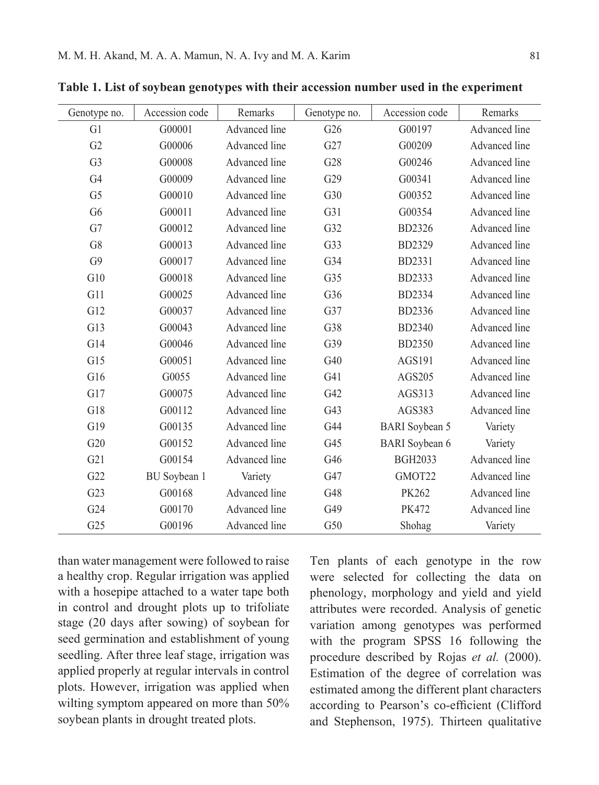| Genotype no.   | Accession code      | Remarks       | Genotype no. | Accession code        | Remarks       |
|----------------|---------------------|---------------|--------------|-----------------------|---------------|
| G1             | G00001              | Advanced line | G26          | G00197                | Advanced line |
| G2             | G00006              | Advanced line | G27          | G00209                | Advanced line |
| G <sub>3</sub> | G00008              | Advanced line | G28          | G00246                | Advanced line |
| G <sub>4</sub> | G00009              | Advanced line | G29          | G00341                | Advanced line |
| G <sub>5</sub> | G00010              | Advanced line | G30          | G00352                | Advanced line |
| G <sub>6</sub> | G00011              | Advanced line | G31          | G00354                | Advanced line |
| G7             | G00012              | Advanced line | G32          | <b>BD2326</b>         | Advanced line |
| G8             | G00013              | Advanced line | G33          | BD2329                | Advanced line |
| G9             | G00017              | Advanced line | G34          | BD2331                | Advanced line |
| G10            | G00018              | Advanced line | G35          | BD2333                | Advanced line |
| G11            | G00025              | Advanced line | G36          | BD2334                | Advanced line |
| G12            | G00037              | Advanced line | G37          | BD2336                | Advanced line |
| G13            | G00043              | Advanced line | G38          | <b>BD2340</b>         | Advanced line |
| G14            | G00046              | Advanced line | G39          | <b>BD2350</b>         | Advanced line |
| G15            | G00051              | Advanced line | G40          | AGS191                | Advanced line |
| G16            | G0055               | Advanced line | G41          | AGS205                | Advanced line |
| G17            | G00075              | Advanced line | G42          | AGS313                | Advanced line |
| G18            | G00112              | Advanced line | G43          | AGS383                | Advanced line |
| G19            | G00135              | Advanced line | G44          | <b>BARI</b> Soybean 5 | Variety       |
| G20            | G00152              | Advanced line | G45          | <b>BARI</b> Soybean 6 | Variety       |
| G21            | G00154              | Advanced line | G46          | <b>BGH2033</b>        | Advanced line |
| G22            | <b>BU</b> Soybean 1 | Variety       | G47          | GMOT22                | Advanced line |
| G23            | G00168              | Advanced line | G48          | PK262                 | Advanced line |
| G24            | G00170              | Advanced line | G49          | <b>PK472</b>          | Advanced line |
| G25            | G00196              | Advanced line | G50          | Shohag                | Variety       |

**Table 1. List of soybean genotypes with their accession number used in the experiment**

than water management were followed to raise a healthy crop. Regular irrigation was applied with a hosepipe attached to a water tape both in control and drought plots up to trifoliate stage (20 days after sowing) of soybean for seed germination and establishment of young seedling. After three leaf stage, irrigation was applied properly at regular intervals in control plots. However, irrigation was applied when wilting symptom appeared on more than 50% soybean plants in drought treated plots.

Ten plants of each genotype in the row were selected for collecting the data on phenology, morphology and yield and yield attributes were recorded. Analysis of genetic variation among genotypes was performed with the program SPSS 16 following the procedure described by Rojas *et al.* (2000). Estimation of the degree of correlation was estimated among the different plant characters according to Pearson's co-efficient (Clifford and Stephenson, 1975). Thirteen qualitative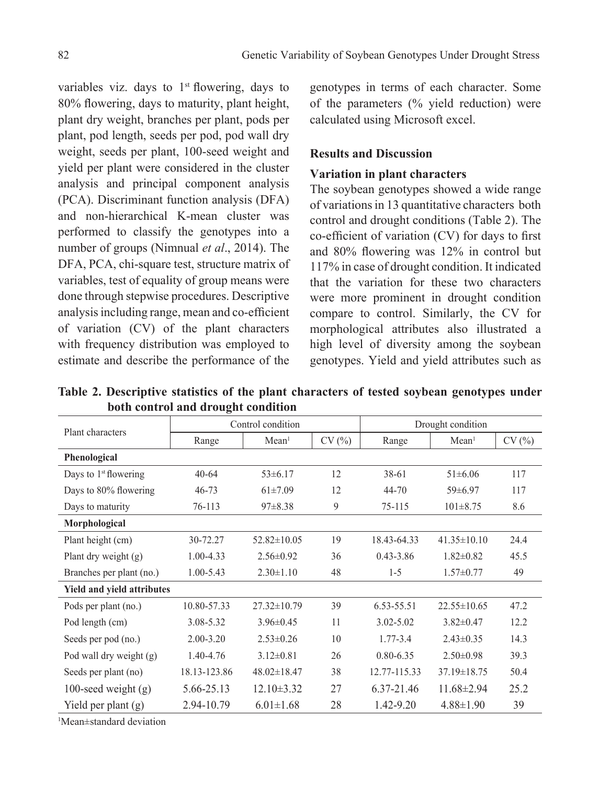variables viz. days to  $1<sup>st</sup>$  flowering, days to 80% flowering, days to maturity, plant height, plant dry weight, branches per plant, pods per plant, pod length, seeds per pod, pod wall dry weight, seeds per plant, 100-seed weight and yield per plant were considered in the cluster analysis and principal component analysis (PCA). Discriminant function analysis (DFA) and non-hierarchical K-mean cluster was performed to classify the genotypes into a number of groups (Nimnual *et al*., 2014). The DFA, PCA, chi-square test, structure matrix of variables, test of equality of group means were done through stepwise procedures. Descriptive analysis including range, mean and co-efficient of variation (CV) of the plant characters with frequency distribution was employed to estimate and describe the performance of the

genotypes in terms of each character. Some of the parameters (% yield reduction) were calculated using Microsoft excel.

## **Results and Discussion**

## **Variation in plant characters**

The soybean genotypes showed a wide range of variations in 13 quantitative characters both control and drought conditions (Table 2). The co-efficient of variation (CV) for days to first and 80% flowering was 12% in control but 117% in case of drought condition. It indicated that the variation for these two characters were more prominent in drought condition compare to control. Similarly, the CV for morphological attributes also illustrated a high level of diversity among the soybean genotypes. Yield and yield attributes such as

**Table 2. Descriptive statistics of the plant characters of tested soybean genotypes under both control and drought condition**

| Plant characters                  |               | Control condition |       | Drought condition |                   |       |  |
|-----------------------------------|---------------|-------------------|-------|-------------------|-------------------|-------|--|
|                                   | Range         | Mean <sup>1</sup> | CV(%) | Range             | Mean <sup>1</sup> | CV(%) |  |
| Phenological                      |               |                   |       |                   |                   |       |  |
| Days to $1st$ flowering           | $40 - 64$     | $53\pm 6.17$      | 12    | 38-61             | $51\pm 6.06$      | 117   |  |
| Days to 80% flowering             | $46 - 73$     | $61\pm7.09$       | 12    | 44-70             | $59\pm 6.97$      | 117   |  |
| Days to maturity                  | 76-113        | $97 \pm 8.38$     | 9     | 75-115            | $101 \pm 8.75$    | 8.6   |  |
| Morphological                     |               |                   |       |                   |                   |       |  |
| Plant height (cm)                 | 30-72.27      | $52.82 \pm 10.05$ | 19    | 18.43-64.33       | $41.35 \pm 10.10$ | 24.4  |  |
| Plant dry weight (g)              | 1.00-4.33     | $2.56 \pm 0.92$   | 36    | $0.43 - 3.86$     | $1.82 \pm 0.82$   | 45.5  |  |
| Branches per plant (no.)          | 1.00-5.43     | $2.30 \pm 1.10$   | 48    | $1 - 5$           | $1.57 \pm 0.77$   | 49    |  |
| <b>Yield and yield attributes</b> |               |                   |       |                   |                   |       |  |
| Pods per plant (no.)              | 10.80-57.33   | $27.32 \pm 10.79$ | 39    | 6.53-55.51        | $22.55 \pm 10.65$ | 47.2  |  |
| Pod length (cm)                   | 3.08-5.32     | $3.96 \pm 0.45$   | 11    | $3.02 - 5.02$     | $3.82 \pm 0.47$   | 12.2  |  |
| Seeds per pod (no.)               | $2.00 - 3.20$ | $2.53 \pm 0.26$   | 10    | $1.77 - 3.4$      | $2.43 \pm 0.35$   | 14.3  |  |
| Pod wall dry weight (g)           | 1.40-4.76     | $3.12 \pm 0.81$   | 26    | $0.80 - 6.35$     | $2.50\pm0.98$     | 39.3  |  |
| Seeds per plant (no)              | 18.13-123.86  | $48.02 \pm 18.47$ | 38    | 12.77-115.33      | $37.19 \pm 18.75$ | 50.4  |  |
| 100-seed weight $(g)$             | 5.66-25.13    | $12.10\pm3.32$    | 27    | 6.37-21.46        | $11.68 \pm 2.94$  | 25.2  |  |
| Yield per plant $(g)$             | 2.94-10.79    | $6.01 \pm 1.68$   | 28    | $1.42 - 9.20$     | $4.88 \pm 1.90$   | 39    |  |

1 Mean±standard deviation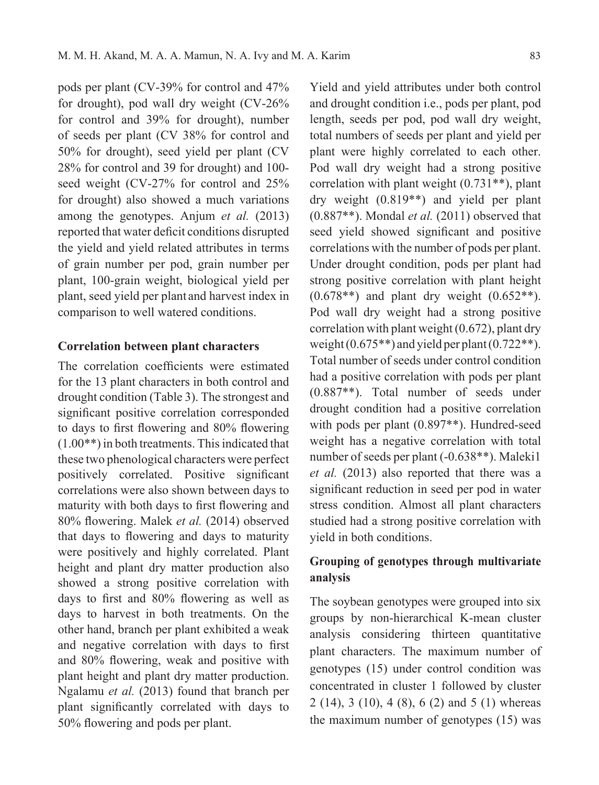pods per plant (CV-39% for control and 47% for drought), pod wall dry weight (CV-26% for control and 39% for drought), number of seeds per plant (CV 38% for control and 50% for drought), seed yield per plant (CV 28% for control and 39 for drought) and 100 seed weight (CV-27% for control and 25% for drought) also showed a much variations among the genotypes. Anjum *et al.* (2013) reported that water deficit conditions disrupted the yield and yield related attributes in terms of grain number per pod, grain number per plant, 100-grain weight, biological yield per plant, seed yield per plant and harvest index in comparison to well watered conditions.

## **Correlation between plant characters**

The correlation coefficients were estimated for the 13 plant characters in both control and drought condition (Table 3). The strongest and significant positive correlation corresponded to days to first flowering and 80% flowering (1.00\*\*) in both treatments. This indicated that these two phenological characters were perfect positively correlated. Positive significant correlations were also shown between days to maturity with both days to first flowering and 80% flowering. Malek *et al.* (2014) observed that days to flowering and days to maturity were positively and highly correlated. Plant height and plant dry matter production also showed a strong positive correlation with days to first and 80% flowering as well as days to harvest in both treatments. On the other hand, branch per plant exhibited a weak and negative correlation with days to first and 80% flowering, weak and positive with plant height and plant dry matter production. Ngalamu *et al.* (2013) found that branch per plant significantly correlated with days to 50% flowering and pods per plant.

Yield and yield attributes under both control and drought condition i.e., pods per plant, pod length, seeds per pod, pod wall dry weight, total numbers of seeds per plant and yield per plant were highly correlated to each other. Pod wall dry weight had a strong positive correlation with plant weight (0.731\*\*), plant dry weight (0.819\*\*) and yield per plant (0.887\*\*). Mondal *et al.* (2011) observed that seed yield showed significant and positive correlations with the number of pods per plant. Under drought condition, pods per plant had strong positive correlation with plant height  $(0.678**)$  and plant dry weight  $(0.652**)$ . Pod wall dry weight had a strong positive correlation with plant weight (0.672), plant dry weight  $(0.675**)$  and yield per plant  $(0.722**)$ . Total number of seeds under control condition had a positive correlation with pods per plant (0.887\*\*). Total number of seeds under drought condition had a positive correlation with pods per plant (0.897\*\*). Hundred-seed weight has a negative correlation with total number of seeds per plant (-0.638\*\*). Maleki1 *et al.* (2013) also reported that there was a significant reduction in seed per pod in water stress condition. Almost all plant characters studied had a strong positive correlation with yield in both conditions.

# **Grouping of genotypes through multivariate analysis**

The soybean genotypes were grouped into six groups by non-hierarchical K-mean cluster analysis considering thirteen quantitative plant characters. The maximum number of genotypes (15) under control condition was concentrated in cluster 1 followed by cluster 2 (14), 3 (10), 4 (8), 6 (2) and 5 (1) whereas the maximum number of genotypes (15) was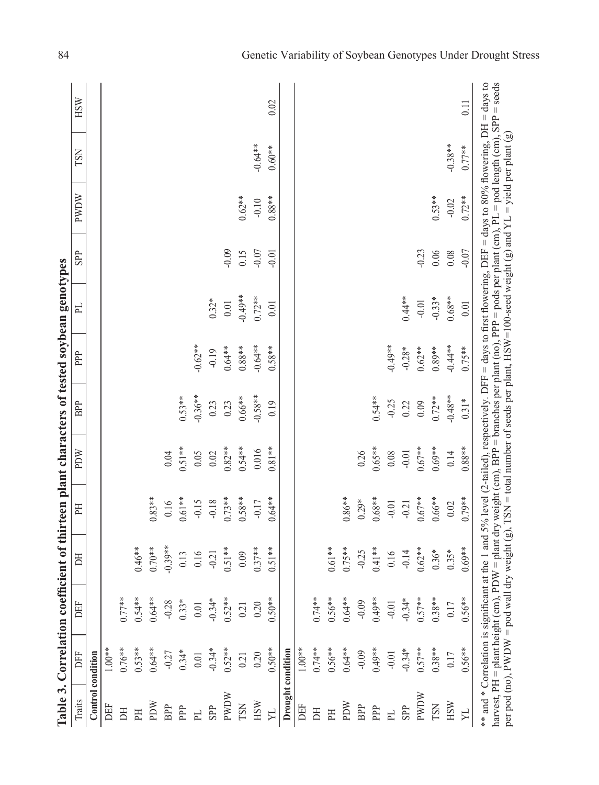|                   |                                                                | Table 3. Correlation coefficient of thirteen plant characters of tested soybean genotypes |           |           |          |           |           |           |            |                                                                                                                                                                                                                                                                                                                                                                                                            |           |      |
|-------------------|----------------------------------------------------------------|-------------------------------------------------------------------------------------------|-----------|-----------|----------|-----------|-----------|-----------|------------|------------------------------------------------------------------------------------------------------------------------------------------------------------------------------------------------------------------------------------------------------------------------------------------------------------------------------------------------------------------------------------------------------------|-----------|------|
| Traits            | 呂                                                              | DEF                                                                                       | БĦ        | FH        | PDW      | BPP       | PPP       | 已         | <b>SPP</b> | PWDW                                                                                                                                                                                                                                                                                                                                                                                                       | TSN       | HSW  |
| Control condition |                                                                |                                                                                           |           |           |          |           |           |           |            |                                                                                                                                                                                                                                                                                                                                                                                                            |           |      |
| DEF               | $1.00**$                                                       |                                                                                           |           |           |          |           |           |           |            |                                                                                                                                                                                                                                                                                                                                                                                                            |           |      |
| E                 | $0.76***$                                                      | $0.77**$                                                                                  |           |           |          |           |           |           |            |                                                                                                                                                                                                                                                                                                                                                                                                            |           |      |
| FH                | $0.53**$                                                       | $0.54***$                                                                                 | $0.46**$  |           |          |           |           |           |            |                                                                                                                                                                                                                                                                                                                                                                                                            |           |      |
| MCId              | $0.64***$                                                      | $0.64***$                                                                                 | $0.70**$  | $0.83***$ |          |           |           |           |            |                                                                                                                                                                                                                                                                                                                                                                                                            |           |      |
| BPP               | $-0.27$                                                        | $-0.28$                                                                                   | $-0.39**$ | 0.16      | 0.04     |           |           |           |            |                                                                                                                                                                                                                                                                                                                                                                                                            |           |      |
| PPP               | $0.34*$                                                        | $0.33*$                                                                                   | 0.13      | $0.61**$  | $0.51**$ | $0.53**$  |           |           |            |                                                                                                                                                                                                                                                                                                                                                                                                            |           |      |
| PL                | $0.01\,$                                                       | $0.01\,$                                                                                  | 0.16      | $-0.15$   | 0.05     | $-0.36**$ | $-0.62**$ |           |            |                                                                                                                                                                                                                                                                                                                                                                                                            |           |      |
| SPP               | $-0.34*$                                                       | $-0.34*$                                                                                  | $-0.21$   | $-0.18$   | 0.02     | 0.23      | $-0.19$   | $0.32*$   |            |                                                                                                                                                                                                                                                                                                                                                                                                            |           |      |
| <b>NOM</b>        | $0.52***$                                                      | $0.52**$                                                                                  | $0.51**$  | $0.73**$  | $0.82**$ | 0.23      | $0.64***$ | $0.01$    | $-0.09$    |                                                                                                                                                                                                                                                                                                                                                                                                            |           |      |
| TSN               | 0.21                                                           | 0.21                                                                                      | 0.09      | $0.58**$  | $0.54**$ | $0.66**$  | $0.88**$  | $-0.49**$ | 0.15       | $0.62**$                                                                                                                                                                                                                                                                                                                                                                                                   |           |      |
| <b>HSW</b>        | 0.20                                                           | 0.20                                                                                      | $0.37**$  | $-0.17$   | 0.016    | $-0.58**$ | $-0.64**$ | $0.72**$  | $-0.07$    | $-0.10$                                                                                                                                                                                                                                                                                                                                                                                                    | $-0.64**$ |      |
| $\Sigma$          | $0.50**$                                                       | $0.50**$                                                                                  | $0.51**$  | $0.64**$  | $0.81**$ | 0.19      | $0.58**$  | 0.01      | $-0.01$    | $0.88***$                                                                                                                                                                                                                                                                                                                                                                                                  | $0.60**$  | 0.02 |
| Drought condition |                                                                |                                                                                           |           |           |          |           |           |           |            |                                                                                                                                                                                                                                                                                                                                                                                                            |           |      |
| DEF               | $1.00**$                                                       |                                                                                           |           |           |          |           |           |           |            |                                                                                                                                                                                                                                                                                                                                                                                                            |           |      |
| E                 | $0.74***$                                                      | $0.74***$                                                                                 |           |           |          |           |           |           |            |                                                                                                                                                                                                                                                                                                                                                                                                            |           |      |
| EH                | $0.56***$                                                      | $0.56**$                                                                                  | $0.61**$  |           |          |           |           |           |            |                                                                                                                                                                                                                                                                                                                                                                                                            |           |      |
| MUdd              | $0.64**$                                                       | $0.64***$                                                                                 | $0.75***$ | $0.86***$ |          |           |           |           |            |                                                                                                                                                                                                                                                                                                                                                                                                            |           |      |
| BPP               | $-0.09$                                                        | $-0.09$                                                                                   | $-0.25$   | $0.29*$   | 0.26     |           |           |           |            |                                                                                                                                                                                                                                                                                                                                                                                                            |           |      |
| PPP               | $0.49**$                                                       | $0.49**$                                                                                  | $0.41***$ | $0.68**$  | $0.65**$ | $0.54***$ |           |           |            |                                                                                                                                                                                                                                                                                                                                                                                                            |           |      |
| $\mathbb{H}$      | $-0.01$                                                        | $-0.01$                                                                                   | 0.16      | $-0.01$   | 0.08     | $-0.25$   | $-0.49**$ |           |            |                                                                                                                                                                                                                                                                                                                                                                                                            |           |      |
| SPP               | $-0.34*$                                                       | $-0.34*$                                                                                  | $-0.14$   | $-0.21$   | $-0.01$  | 0.22      | $-0.28*$  | $0.44**$  |            |                                                                                                                                                                                                                                                                                                                                                                                                            |           |      |
| <b>PWDW</b>       | $0.57**$                                                       | $0.57***$                                                                                 | $0.62***$ | $0.67**$  | $0.67**$ | 0.09      | $0.62***$ | $-0.01$   | $-0.23$    |                                                                                                                                                                                                                                                                                                                                                                                                            |           |      |
| TSN               | $0.38**$                                                       | $0.38**$                                                                                  | $0.36*$   | $0.66***$ | $0.69**$ | $0.72***$ | $0.89**$  | $-0.33*$  | $0.06$     | $0.53**$                                                                                                                                                                                                                                                                                                                                                                                                   |           |      |
| $_{\rm HSM}$      | 0.17                                                           | 0.17                                                                                      | $0.35*$   | 0.02      | 0.14     | $-0.48**$ | $-0.44**$ | $0.68**$  | 0.08       | $-0.02$                                                                                                                                                                                                                                                                                                                                                                                                    | $-0.38**$ |      |
| N,                | $0.56**$                                                       | $0.56**$                                                                                  | $0.69**$  | $0.79**$  | $0.88**$ | $0.31*$   | $0.75***$ | 0.01      | $-0.07$    | $0.72**$                                                                                                                                                                                                                                                                                                                                                                                                   | $0.77**$  | 0.11 |
|                   | per pod (no), PWDW = pod wa<br>harvest, PH = plant height (cm) |                                                                                           |           |           |          |           |           |           |            | PDW = plant dry weight (cm), BPP = branches per plant (no), PPP = pods per plant (cm), PL = pod length (cm), SPP = seeds<br>** and * Correlation is significant at the 1 and 5% level (2-tailed), respectively. DFF = days to first flowering, DEF = days to 80% flowering, DH = days to<br>ll dry weight (g), TSN = total number of seeds per plant, HSW=100-seed weight (g) and YL = yield per plant (g) |           |      |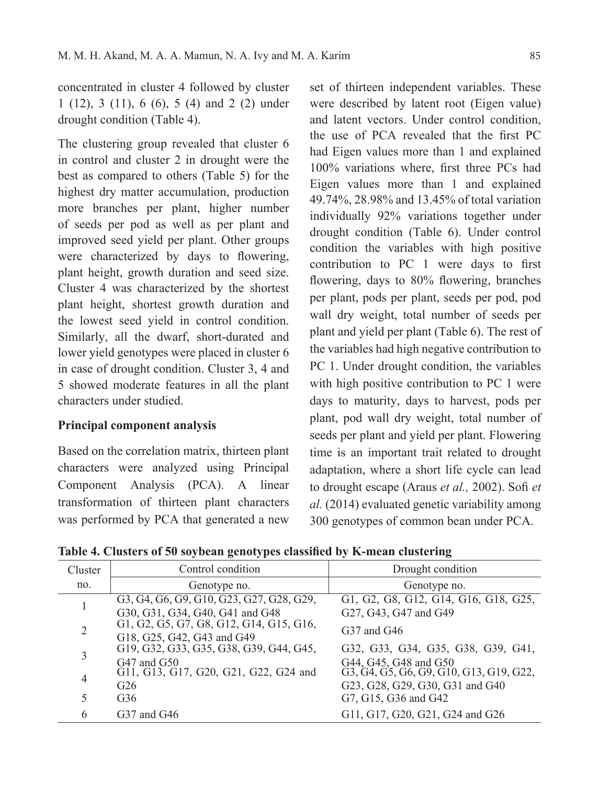concentrated in cluster 4 followed by cluster 1 (12), 3 (11), 6 (6), 5 (4) and 2 (2) under drought condition (Table 4).

The clustering group revealed that cluster 6 in control and cluster 2 in drought were the best as compared to others (Table 5) for the highest dry matter accumulation, production more branches per plant, higher number of seeds per pod as well as per plant and improved seed yield per plant. Other groups were characterized by days to flowering, plant height, growth duration and seed size. Cluster 4 was characterized by the shortest plant height, shortest growth duration and the lowest seed yield in control condition. Similarly, all the dwarf, short-durated and lower yield genotypes were placed in cluster 6 in case of drought condition. Cluster 3, 4 and 5 showed moderate features in all the plant characters under studied.

# **Principal component analysis**

Based on the correlation matrix, thirteen plant characters were analyzed using Principal Component Analysis (PCA). A linear transformation of thirteen plant characters was performed by PCA that generated a new

set of thirteen independent variables. These were described by latent root (Eigen value) and latent vectors. Under control condition, the use of PCA revealed that the first PC had Eigen values more than 1 and explained 100% variations where, first three PCs had Eigen values more than 1 and explained 49.74%, 28.98% and 13.45% of total variation individually 92% variations together under drought condition (Table 6). Under control condition the variables with high positive contribution to PC 1 were days to first flowering, days to 80% flowering, branches per plant, pods per plant, seeds per pod, pod wall dry weight, total number of seeds per plant and yield per plant (Table 6). The rest of the variables had high negative contribution to PC 1. Under drought condition, the variables with high positive contribution to PC 1 were days to maturity, days to harvest, pods per plant, pod wall dry weight, total number of seeds per plant and yield per plant. Flowering time is an important trait related to drought adaptation, where a short life cycle can lead to drought escape (Araus *et al.,* 2002). Sofi *et al.* (2014) evaluated genetic variability among 300 genotypes of common bean under PCA.

**Table 4. Clusters of 50 soybean genotypes classified by K-mean clustering**

| Control condition                        | Drought condition                                                                                                                              |
|------------------------------------------|------------------------------------------------------------------------------------------------------------------------------------------------|
| Genotype no.                             | Genotype no.                                                                                                                                   |
| G3, G4, G6, G9, G10, G23, G27, G28, G29, | G1, G2, G8, G12, G14, G16, G18, G25,                                                                                                           |
| G30, G31, G34, G40, G41 and G48          | G27, G43, G47 and G49                                                                                                                          |
|                                          | $G37$ and $G46$                                                                                                                                |
| G18, G25, G42, G43 and G49               |                                                                                                                                                |
|                                          | G32, G33, G34, G35, G38, G39, G41,                                                                                                             |
| $G47$ and $G50$                          | G44, G45, G48 and G50<br>G3, G4, G5, G6, G9, G10, G13, G19, G22,                                                                               |
|                                          |                                                                                                                                                |
|                                          | G23, G28, G29, G30, G31 and G40                                                                                                                |
| G <sub>36</sub>                          | G7, G15, G36 and G42                                                                                                                           |
| $G37$ and $G46$                          | G11, G17, G20, G21, G24 and G26                                                                                                                |
|                                          | G1, G2, G5, G7, G8, G12, G14, G15, G16,<br>G19, G32, G33, G35, G38, G39, G44, G45,<br>G11, G13, G17, G20, G21, G22, G24 and<br>G <sub>26</sub> |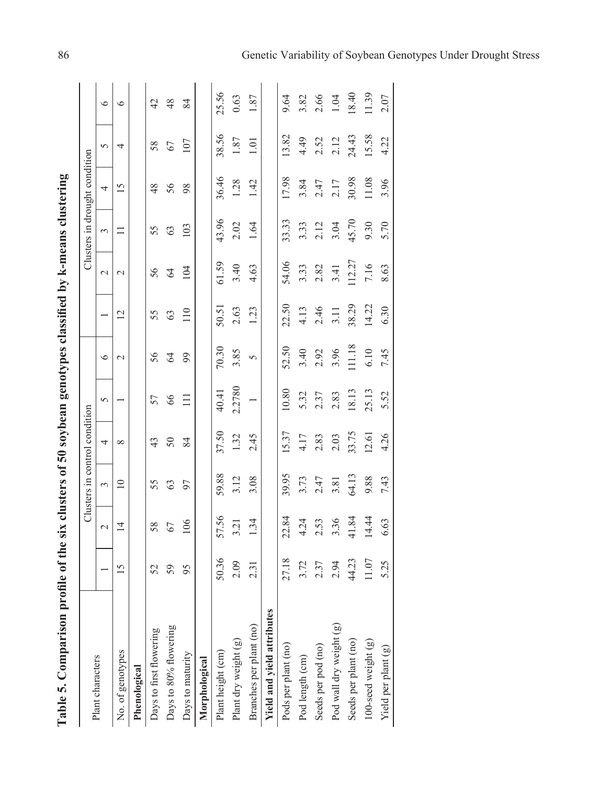| $\frac{1}{2}$                                                |
|--------------------------------------------------------------|
|                                                              |
|                                                              |
|                                                              |
| ֧֧֧֢ׅ֧ׅ֧֧֧ׅ֧֧֚֚֚֚֚֚֚֚֚֚֚֚֚֚֚֬֝֝֓֜֓֝֓֝֬֜֓֝֬<br>non monot<br>١ |
| $\frac{1}{2}$                                                |
|                                                              |
| l                                                            |
| $\frac{1}{2}$                                                |
|                                                              |
| もくきょう トラミ く                                                  |
| ā<br>$\frac{1}{2}$<br>l                                      |
| is and                                                       |
| $\zeta$                                                      |
| ľ                                                            |

|                            |                 |                | Clusters in control condition |          |        |               |                |               |          | Clusters in drought condition |          |         |
|----------------------------|-----------------|----------------|-------------------------------|----------|--------|---------------|----------------|---------------|----------|-------------------------------|----------|---------|
| Plant characters           |                 | $\sim$         | 3                             | 4        | 5      | $\circ$       |                | $\sim$        | 3        | 4                             | 5        | $\circ$ |
| No. of genotypes           | $\overline{15}$ | $\overline{4}$ | $\supseteq$                   | $\infty$ |        | $\mathcal{L}$ | $\overline{c}$ | $\mathcal{L}$ | $\equiv$ | $\overline{15}$               | 4        | $\circ$ |
| Phenological               |                 |                |                               |          |        |               |                |               |          |                               |          |         |
| Days to first flowering    | 52              | 58             | 55                            | 43       | 57     | 56            | 55             | 56            | 55       | 48                            | 58       | 42      |
| Days to 80% flowering      | 59              | 67             | 63                            | 50       | 66     | $\mathcal{L}$ | 63             | $\mathcal{Z}$ | 63       | 56                            | 67       | 48      |
| Days to maturity           | 95              | 106            | 97                            | 84       | $\Xi$  | 99            | 110            | 104           | 103      | 98                            | 107      | 84      |
| Morphological              |                 |                |                               |          |        |               |                |               |          |                               |          |         |
| Plant height (cm)          | 50.36           | 57.56          | 59.88                         | 37.50    | 40.41  | 70.30         | 50.51          | 61.59         | 43.96    | 36.46                         | 38.56    | 25.56   |
| Plant dry weight (g)       | 2.09            | 3.21           | 3.12                          | 1.32     | 2.2780 | 3.85          | 2.63           | 3.40          | 2.02     | 1.28                          | $1.87\,$ | 0.63    |
| Branches per plant (no)    | 2.31            | 1.34           | 3.08                          | 2.45     |        | 5             | 1.23           | 4.63          | 1.64     | 1.42                          | 1.01     | 1.87    |
| Yield and yield attributes |                 |                |                               |          |        |               |                |               |          |                               |          |         |
| Pods per plant (no)        | 27.18           | 22.84          | 39.95                         | 15.37    | 10.80  | 52.50         | 22.50          | 54.06         | 33.33    | 17.98                         | 13.82    | 9.64    |
| Pod length $\rm (cm)$      | 3.72            | 4.24           | 3.73                          | 4.17     | 5.32   | 3.40          | 4.13           | 3.33          | 3.33     | 3.84                          | 4.49     | 3.82    |
| Seeds per pod (no)         | 2.37            | 2.53           | 2.47                          | 2.83     | 2.37   | 2.92          | 2.46           | 2.82          | 2.12     | 2.47                          | 2.52     | 2.66    |
| Pod wall dry weight (g)    | 2.94            | 3.36           | 3.81                          | 2.03     | 2.83   | 3.96          | 3.11           | 3.41          | 3.04     | 2.17                          | 2.12     | 1.04    |
| Seeds per plant (no)       | 44.23           | 41.84          | 64.13                         | 33.75    | 18.13  | 111.18        | 38.29          | 112.27        | 45.70    | 30.98                         | 24.43    | 18.40   |
| $100$ -seed weight $(g)$   | 11.07           | 14.44          | 9.88                          | 12.61    | 25.13  | 6.10          | 14.22          | 7.16          | 9.30     | 11.08                         | 15.58    | 11.39   |
| Yield per plant (g)        | 5.25            | 6.63           | 7.43                          | 4.26     | 5.52   | 7.45          | 6.30           | 8.63          | 5.70     | 3.96                          | 4.22     | 2.07    |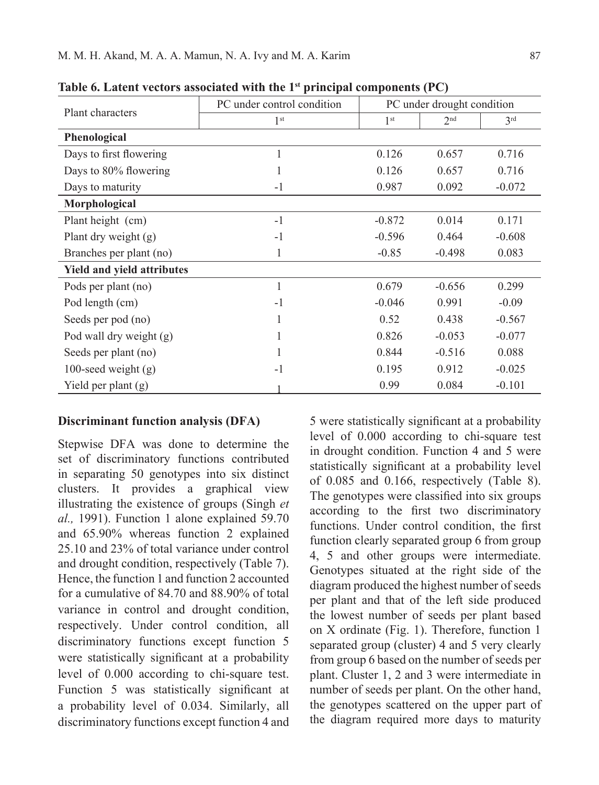|                                   | PC under control condition |                 | PC under drought condition |                 |
|-----------------------------------|----------------------------|-----------------|----------------------------|-----------------|
| Plant characters                  | 1 <sup>st</sup>            | 1 <sup>st</sup> | 2 <sup>nd</sup>            | 3 <sup>rd</sup> |
| Phenological                      |                            |                 |                            |                 |
| Days to first flowering           | 1                          | 0.126           | 0.657                      | 0.716           |
| Days to 80% flowering             | 1                          | 0.126           | 0.657                      | 0.716           |
| Days to maturity                  | $-1$                       | 0.987           | 0.092                      | $-0.072$        |
| Morphological                     |                            |                 |                            |                 |
| Plant height (cm)                 | $-1$                       | $-0.872$        | 0.014                      | 0.171           |
| Plant dry weight (g)              | $-1$                       | $-0.596$        | 0.464                      | $-0.608$        |
| Branches per plant (no)           | 1                          | $-0.85$         | $-0.498$                   | 0.083           |
| <b>Yield and yield attributes</b> |                            |                 |                            |                 |
| Pods per plant (no)               | 1                          | 0.679           | $-0.656$                   | 0.299           |
| Pod length (cm)                   | $-1$                       | $-0.046$        | 0.991                      | $-0.09$         |
| Seeds per pod (no)                | 1                          | 0.52            | 0.438                      | $-0.567$        |
| Pod wall dry weight (g)           |                            | 0.826           | $-0.053$                   | $-0.077$        |
| Seeds per plant (no)              |                            | 0.844           | $-0.516$                   | 0.088           |
| 100-seed weight $(g)$             | $-1$                       | 0.195           | 0.912                      | $-0.025$        |
| Yield per plant $(g)$             |                            | 0.99            | 0.084                      | $-0.101$        |

**Table 6. Latent vectors associated with the 1st principal components (PC)**

#### **Discriminant function analysis (DFA)**

Stepwise DFA was done to determine the set of discriminatory functions contributed in separating 50 genotypes into six distinct clusters. It provides a graphical view illustrating the existence of groups (Singh *et al.,* 1991). Function 1 alone explained 59.70 and 65.90% whereas function 2 explained 25.10 and 23% of total variance under control and drought condition, respectively (Table 7). Hence, the function 1 and function 2 accounted for a cumulative of 84.70 and 88.90% of total variance in control and drought condition, respectively. Under control condition, all discriminatory functions except function 5 were statistically significant at a probability level of 0.000 according to chi-square test. Function 5 was statistically significant at a probability level of 0.034. Similarly, all discriminatory functions except function 4 and

5 were statistically significant at a probability level of 0.000 according to chi-square test in drought condition. Function 4 and 5 were statistically significant at a probability level of 0.085 and 0.166, respectively (Table 8). The genotypes were classified into six groups according to the first two discriminatory functions. Under control condition, the first function clearly separated group 6 from group 4, 5 and other groups were intermediate. Genotypes situated at the right side of the diagram produced the highest number of seeds per plant and that of the left side produced the lowest number of seeds per plant based on X ordinate (Fig. 1). Therefore, function 1 separated group (cluster) 4 and 5 very clearly from group 6 based on the number of seeds per plant. Cluster 1, 2 and 3 were intermediate in number of seeds per plant. On the other hand, the genotypes scattered on the upper part of the diagram required more days to maturity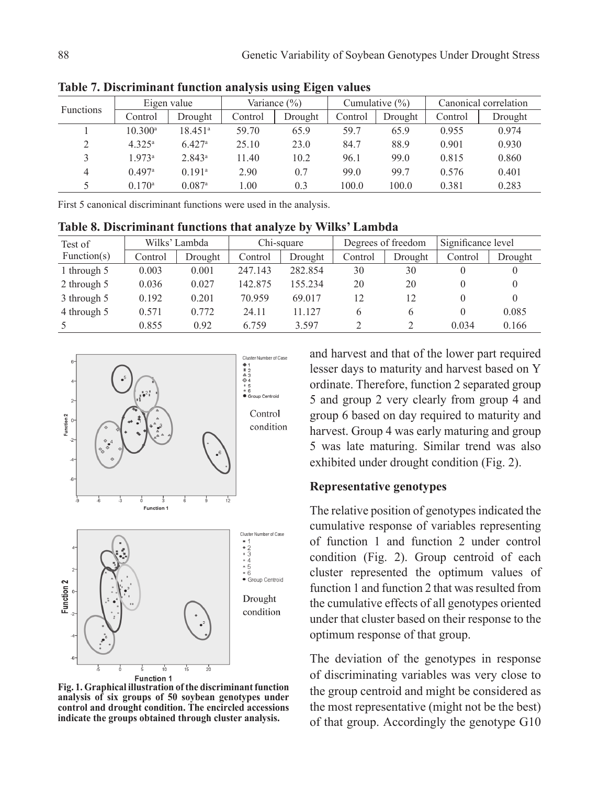| <b>Functions</b> |                      | Eigen value          |         | Variance $(\% )$ |         | Cumulative $(\% )$ |         | Canonical correlation |
|------------------|----------------------|----------------------|---------|------------------|---------|--------------------|---------|-----------------------|
|                  | Control              | Drought              | Control | Drought          | Control | Drought            | Control | Drought               |
|                  | 10.300a              | 18.451 <sup>a</sup>  | 59.70   | 65.9             | 59.7    | 65.9               | 0.955   | 0.974                 |
| $\overline{2}$   | $4.325^{\rm a}$      | $6.427$ <sup>a</sup> | 25.10   | 23.0             | 84.7    | 88.9               | 0.901   | 0.930                 |
| 3                | 1973a                | 2.843 <sup>a</sup>   | 11.40   | 10.2             | 96.1    | 99.0               | 0.815   | 0.860                 |
| 4                | 0.497a               | 0.191a               | 2.90    | 0.7              | 99.0    | 99.7               | 0.576   | 0.401                 |
|                  | $0.170$ <sup>a</sup> | $0.087$ <sup>a</sup> | .00.    | 0.3              | 100.0   | 100.0              | 0.381   | 0.283                 |

**Table 7. Discriminant function analysis using Eigen values**

First 5 canonical discriminant functions were used in the analysis.

**Table 8. Discriminant functions that analyze by Wilks' Lambda**

| Test of     |         | Wilks' Lambda |         | Chi-square |         | Degrees of freedom | Significance level |         |
|-------------|---------|---------------|---------|------------|---------|--------------------|--------------------|---------|
| Function(s) | Control | Drought       | Control | Drought    | Control | Drought            | Control            | Drought |
| 1 through 5 | 0.003   | 0.001         | 247.143 | 282.854    | 30      | 30                 | $\theta$           |         |
| 2 through 5 | 0.036   | 0.027         | 142.875 | 155.234    | 20      | 20                 | $\Omega$           |         |
| 3 through 5 | 0.192   | 0.201         | 70.959  | 69.017     | 12      | 12                 | $\theta$           |         |
| 4 through 5 | 0.571   | 0.772         | 24.11   | 11.127     | 6       | 6                  | $\theta$           | 0.085   |
| -5          | 0.855   | 0.92          | 6.759   | 3.597      |         |                    | 0.034              | 0.166   |



**Fig. 1. Graphical illustration of the discriminant function analysis of six groups of 50 soybean genotypes under control and drought condition. The encircled accessions indicate the groups obtained through cluster analysis.**

and harvest and that of the lower part required lesser days to maturity and harvest based on Y ordinate. Therefore, function 2 separated group 5 and group 2 very clearly from group 4 and group 6 based on day required to maturity and harvest. Group 4 was early maturing and group 5 was late maturing. Similar trend was also exhibited under drought condition (Fig. 2).

#### **Representative genotypes**

The relative position of genotypes indicated the cumulative response of variables representing of function 1 and function 2 under control condition (Fig. 2). Group centroid of each cluster represented the optimum values of function 1 and function 2 that was resulted from the cumulative effects of all genotypes oriented under that cluster based on their response to the optimum response of that group.

The deviation of the genotypes in response of discriminating variables was very close to the group centroid and might be considered as the most representative (might not be the best) of that group. Accordingly the genotype G10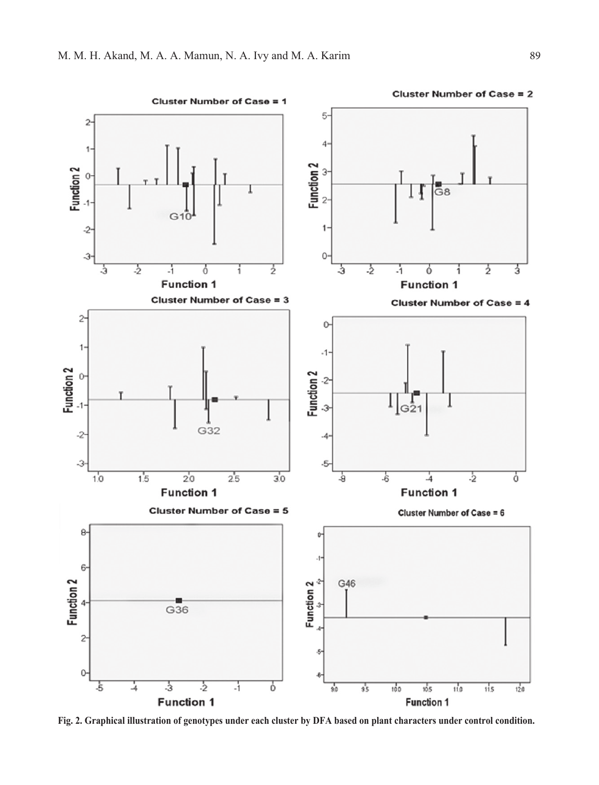

**Fig. 2. Graphical illustration of genotypes under each cluster by DFA based on plant characters under control condition.**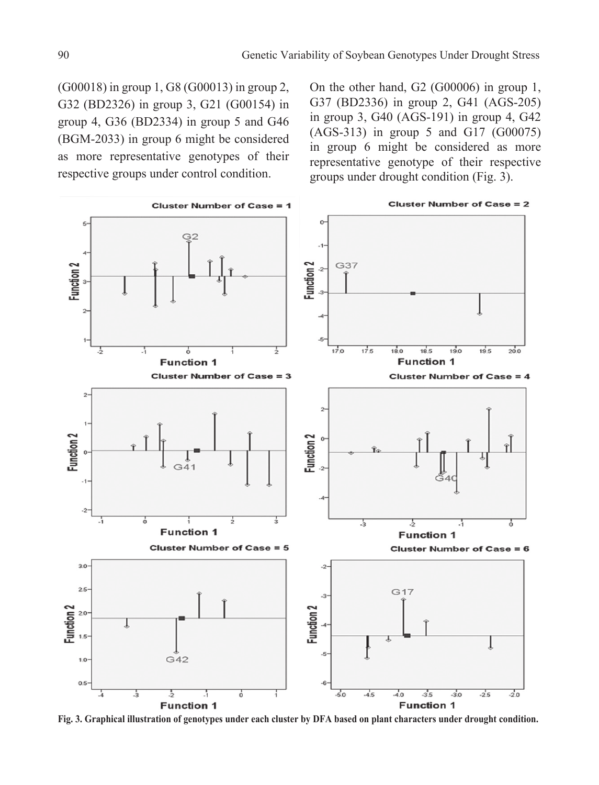(G00018) in group 1, G8 (G00013) in group 2, G32 (BD2326) in group 3, G21 (G00154) in group 4, G36 (BD2334) in group 5 and G46 (BGM-2033) in group 6 might be considered as more representative genotypes of their respective groups under control condition.

On the other hand, G2 (G00006) in group 1, G37 (BD2336) in group 2, G41 (AGS-205) in group 3, G40 (AGS-191) in group 4, G42 (AGS-313) in group 5 and G17 (G00075) in group 6 might be considered as more representative genotype of their respective groups under drought condition (Fig. 3).



**Fig. 3. Graphical illustration of genotypes under each cluster by DFA based on plant characters under drought condition.**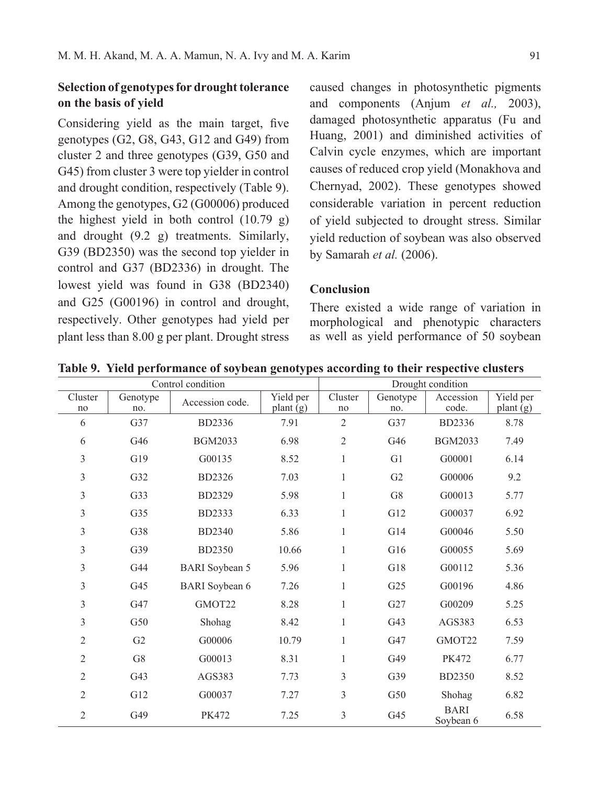# **Selection of genotypes for drought tolerance on the basis of yield**

Considering yield as the main target, five genotypes (G2, G8, G43, G12 and G49) from cluster 2 and three genotypes (G39, G50 and G45) from cluster 3 were top yielder in control and drought condition, respectively (Table 9). Among the genotypes, G2 (G00006) produced the highest yield in both control (10.79 g) and drought (9.2 g) treatments. Similarly, G39 (BD2350) was the second top yielder in control and G37 (BD2336) in drought. The lowest yield was found in G38 (BD2340) and G25 (G00196) in control and drought, respectively. Other genotypes had yield per plant less than 8.00 g per plant. Drought stress

caused changes in photosynthetic pigments and components (Anjum *et al.,* 2003), damaged photosynthetic apparatus (Fu and Huang, 2001) and diminished activities of Calvin cycle enzymes, which are important causes of reduced crop yield (Monakhova and Chernyad, 2002). These genotypes showed considerable variation in percent reduction of yield subjected to drought stress. Similar yield reduction of soybean was also observed by Samarah *et al.* (2006).

## **Conclusion**

There existed a wide range of variation in morphological and phenotypic characters as well as yield performance of 50 soybean

|                |                 | Control condition     |                                |                |                 | Drought condition        |                                |
|----------------|-----------------|-----------------------|--------------------------------|----------------|-----------------|--------------------------|--------------------------------|
| Cluster<br>no  | Genotype<br>no. | Accession code.       | Yield per<br>plant $\bar{g}$ ) | Cluster<br>no  | Genotype<br>no. | Accession<br>code.       | Yield per<br>plant $\bar{g}$ ) |
| 6              | G37             | BD2336                | 7.91                           | $\overline{2}$ | G37             | BD2336                   | 8.78                           |
| 6              | G46             | <b>BGM2033</b>        | 6.98                           | $\overline{2}$ | G46             | <b>BGM2033</b>           | 7.49                           |
| $\mathfrak{Z}$ | G19             | G00135                | 8.52                           | $\mathbf{1}$   | G1              | G00001                   | 6.14                           |
| 3              | G <sub>32</sub> | <b>BD2326</b>         | 7.03                           | $\mathbf{1}$   | G2              | G00006                   | 9.2                            |
| 3              | G33             | BD2329                | 5.98                           | 1              | G8              | G00013                   | 5.77                           |
| $\mathfrak{Z}$ | G <sub>35</sub> | <b>BD2333</b>         | 6.33                           | 1              | G12             | G00037                   | 6.92                           |
| 3              | G38             | BD2340                | 5.86                           | $\mathbf{1}$   | G14             | G00046                   | 5.50                           |
| 3              | G39             | <b>BD2350</b>         | 10.66                          | $\mathbf{1}$   | G16             | G00055                   | 5.69                           |
| 3              | G <sub>44</sub> | <b>BARI</b> Soybean 5 | 5.96                           | 1              | G18             | G00112                   | 5.36                           |
| 3              | G <sub>45</sub> | <b>BARI</b> Soybean 6 | 7.26                           | 1              | G <sub>25</sub> | G00196                   | 4.86                           |
| 3              | G <sub>47</sub> | GMOT22                | 8.28                           | $\mathbf{1}$   | G27             | G00209                   | 5.25                           |
| 3              | G50             | Shohag                | 8.42                           | 1              | G <sub>43</sub> | AGS383                   | 6.53                           |
| $\overline{c}$ | G <sub>2</sub>  | G00006                | 10.79                          | 1              | G47             | GMOT22                   | 7.59                           |
| $\overline{2}$ | G8              | G00013                | 8.31                           | $\mathbf{1}$   | G49             | <b>PK472</b>             | 6.77                           |
| $\overline{2}$ | G <sub>43</sub> | AGS383                | 7.73                           | 3              | G39             | <b>BD2350</b>            | 8.52                           |
| $\overline{2}$ | G12             | G00037                | 7.27                           | 3              | G50             | Shohag                   | 6.82                           |
| $\overline{2}$ | G49             | <b>PK472</b>          | 7.25                           | 3              | G45             | <b>BARI</b><br>Soybean 6 | 6.58                           |

**Table 9. Yield performance of soybean genotypes according to their respective clusters**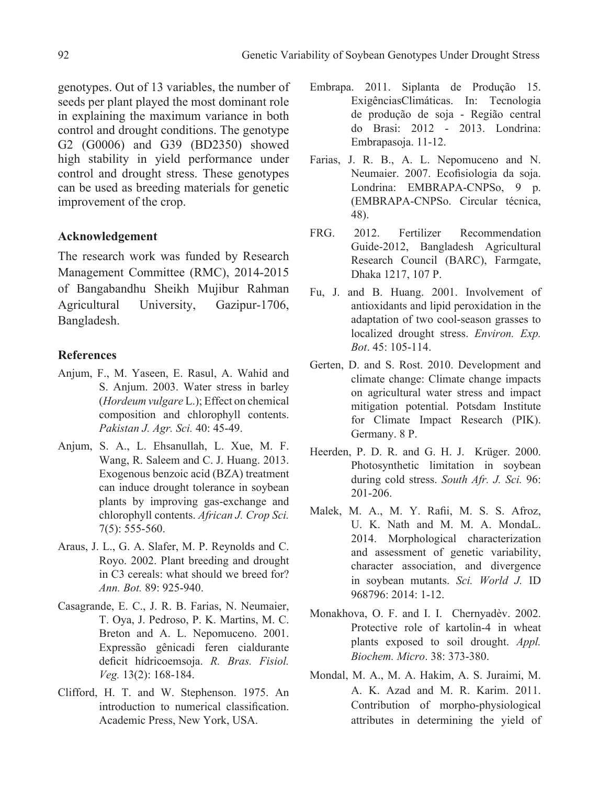genotypes. Out of 13 variables, the number of seeds per plant played the most dominant role in explaining the maximum variance in both control and drought conditions. The genotype G2 (G0006) and G39 (BD2350) showed high stability in yield performance under control and drought stress. These genotypes can be used as breeding materials for genetic improvement of the crop.

## **Acknowledgement**

The research work was funded by Research Management Committee (RMC), 2014-2015 of Bangabandhu Sheikh Mujibur Rahman Agricultural University, Gazipur-1706, Bangladesh.

## **References**

- Anjum, F., M. Yaseen, E. Rasul, A. Wahid and S. Anjum. 2003. Water stress in barley (*Hordeum vulgare* L.); Effect on chemical composition and chlorophyll contents. *Pakistan J. Agr. Sci.* 40: 45-49.
- Anjum, S. A., L. Ehsanullah, L. Xue, M. F. Wang, R. Saleem and C. J. Huang. 2013. Exogenous benzoic acid (BZA) treatment can induce drought tolerance in soybean plants by improving gas-exchange and chlorophyll contents. *African J. Crop Sci.* 7(5): 555-560.
- Araus, J. L., G. A. Slafer, M. P. Reynolds and C. Royo. 2002. Plant breeding and drought in C3 cereals: what should we breed for? *Ann. Bot.* 89: 925-940.
- Casagrande, E. C., J. R. B. Farias, N. Neumaier, T. Oya, J. Pedroso, P. K. Martins, M. C. Breton and A. L. Nepomuceno. 2001. Expressão gênicadi feren cialdurante deficit hídricoemsoja. *R. Bras. Fisiol. Veg.* 13(2): 168-184.
- Clifford, H. T. and W. Stephenson. 1975. An introduction to numerical classification. Academic Press, New York, USA.
- Embrapa. 2011. Siplanta de Produção 15. ExigênciasClimáticas. In: Tecnologia de produção de soja - Região central do Brasi: 2012 - 2013. Londrina: Embrapasoja. 11-12.
- Farias, J. R. B., A. L. Nepomuceno and N. Neumaier. 2007. Ecofisiologia da soja. Londrina: EMBRAPA-CNPSo, 9 p. (EMBRAPA-CNPSo. Circular técnica, 48).
- FRG. 2012. Fertilizer Recommendation Guide-2012, Bangladesh Agricultural Research Council (BARC), Farmgate, Dhaka 1217, 107 P.
- Fu, J. and B. Huang. 2001. Involvement of antioxidants and lipid peroxidation in the adaptation of two cool-season grasses to localized drought stress. *Environ. Exp. Bot*. 45: 105-114.
- Gerten, D. and S. Rost. 2010. Development and climate change: Climate change impacts on agricultural water stress and impact mitigation potential. Potsdam Institute for Climate Impact Research (PIK). Germany. 8 P.
- Heerden, P. D. R. and G. H. J. Krüger. 2000. Photosynthetic limitation in soybean during cold stress. *South Afr. J. Sci.* 96: 201-206.
- Malek, M. A., M. Y. Rafii, M. S. S. Afroz, U. K. Nath and M. M. A. MondaL. 2014. Morphological characterization and assessment of genetic variability, character association, and divergence in soybean mutants. *Sci. World J.* ID 968796: 2014: 1-12.
- Monakhova, O. F. and I. I. Chernyadèv. 2002. Protective role of kartolin-4 in wheat plants exposed to soil drought. *Appl. Biochem. Micro*. 38: 373-380.
- Mondal, M. A., M. A. Hakim, A. S. Juraimi, M. A. K. Azad and M. R. Karim. 2011. Contribution of morpho-physiological attributes in determining the yield of